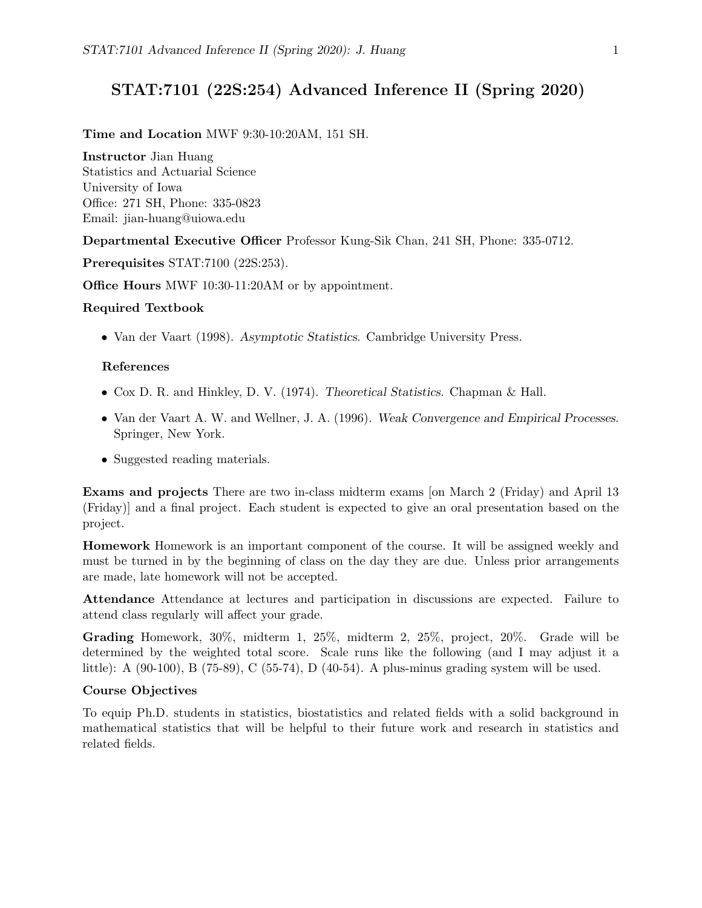# STAT:7101 (22S:254) Advanced Inference II (Spring 2020)

#### Time and Location MWF 9:30-10:20AM, 151 SH.

Instructor Jian Huang Statistics and Actuarial Science University of Iowa Office: 271 SH, Phone: 335-0823 Email: jian-huang@uiowa.edu

Departmental Executive Officer Professor Kung-Sik Chan, 241 SH, Phone: 335-0712.

Prerequisites STAT:7100 (22S:253).

Office Hours MWF 10:30-11:20AM or by appointment.

#### Required Textbook

• Van der Vaart (1998). Asymptotic Statistics. Cambridge University Press.

#### References

- Cox D. R. and Hinkley, D. V. (1974). Theoretical Statistics. Chapman & Hall.
- Van der Vaart A. W. and Wellner, J. A. (1996). Weak Convergence and Empirical Processes. Springer, New York.
- Suggested reading materials.

Exams and projects There are two in-class midterm exams [on March 2 (Friday) and April 13 (Friday)] and a final project. Each student is expected to give an oral presentation based on the project.

Homework Homework is an important component of the course. It will be assigned weekly and must be turned in by the beginning of class on the day they are due. Unless prior arrangements are made, late homework will not be accepted.

Attendance Attendance at lectures and participation in discussions are expected. Failure to attend class regularly will affect your grade.

Grading Homework, 30%, midterm 1, 25%, midterm 2, 25%, project, 20%. Grade will be determined by the weighted total score. Scale runs like the following (and I may adjust it a little): A (90-100), B (75-89), C (55-74), D (40-54). A plus-minus grading system will be used.

#### Course Objectives

To equip Ph.D. students in statistics, biostatistics and related fields with a solid background in mathematical statistics that will be helpful to their future work and research in statistics and related fields.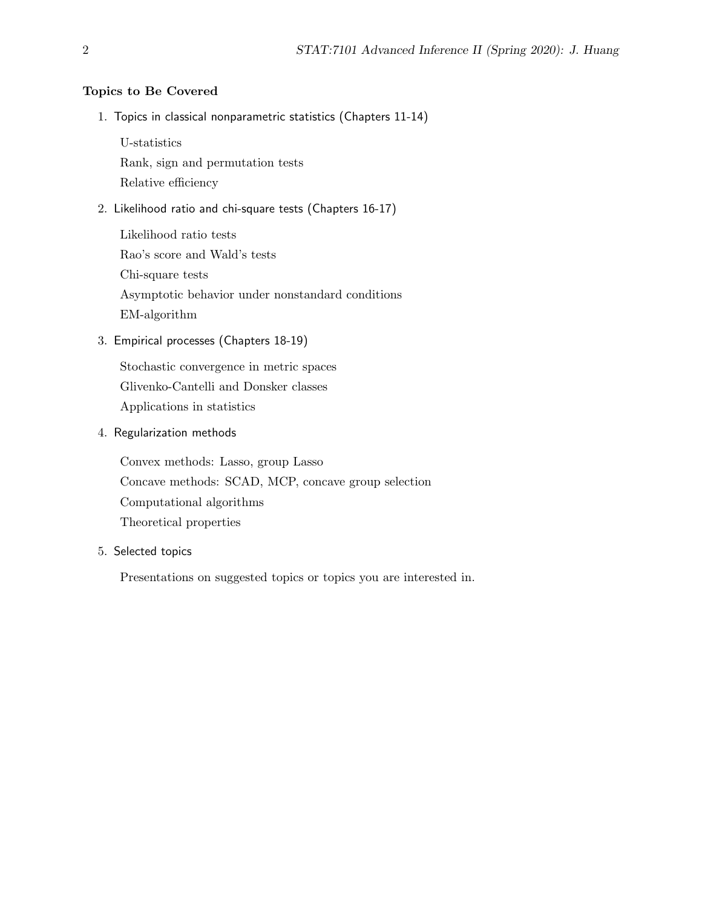## Topics to Be Covered

1. Topics in classical nonparametric statistics (Chapters 11-14)

U-statistics

Rank, sign and permutation tests

Relative efficiency

2. Likelihood ratio and chi-square tests (Chapters 16-17)

Likelihood ratio tests Rao's score and Wald's tests Chi-square tests Asymptotic behavior under nonstandard conditions EM-algorithm

3. Empirical processes (Chapters 18-19)

Stochastic convergence in metric spaces Glivenko-Cantelli and Donsker classes Applications in statistics

4. Regularization methods

Convex methods: Lasso, group Lasso Concave methods: SCAD, MCP, concave group selection Computational algorithms Theoretical properties

### 5. Selected topics

Presentations on suggested topics or topics you are interested in.